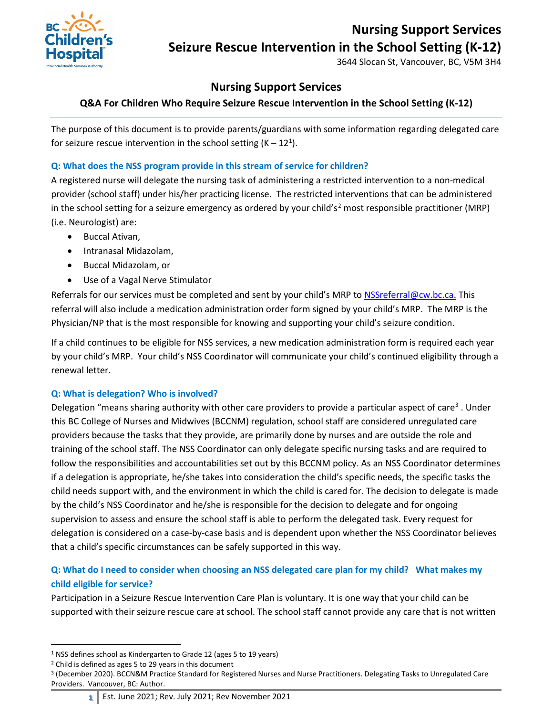# **Nursing Support Services**



# **Seizure Rescue Intervention in the School Setting (K-12)**

3644 Slocan St, Vancouver, BC, V5M 3H4

## **Nursing Support Services**

### **Q&A For Children Who Require Seizure Rescue Intervention in the School Setting (K-12)**

The purpose of this document is to provide parents/guardians with some information regarding delegated care for seizure rescue intervention in the school setting  $(K - 12<sup>1</sup>)$  $(K - 12<sup>1</sup>)$  $(K - 12<sup>1</sup>)$ .

#### **Q: What does the NSS program provide in this stream of service for children?**

A registered nurse will delegate the nursing task of administering a restricted intervention to a non-medical provider (school staff) under his/her practicing license. The restricted interventions that can be administered in the school setting for a seizure emergency as ordered by your child's<sup>[2](#page-0-1)</sup> most responsible practitioner (MRP) (i.e. Neurologist) are:

- Buccal Ativan,
- Intranasal Midazolam,
- Buccal Midazolam, or
- Use of a Vagal Nerve Stimulator

Referrals for our services must be completed and sent by your child's MRP to **[NSSreferral@cw.bc.ca.](mailto:NSSreferral@cw.bc.ca)** This referral will also include a medication administration order form signed by your child's MRP. The MRP is the Physician/NP that is the most responsible for knowing and supporting your child's seizure condition.

If a child continues to be eligible for NSS services, a new medication administration form is required each year by your child's MRP. Your child's NSS Coordinator will communicate your child's continued eligibility through a renewal letter.

### **Q: What is delegation? Who is involved?**

Delegation "means sharing authority with other care providers to provide a particular aspect of care<sup>[3](#page-0-2)</sup>. Under this BC College of Nurses and Midwives (BCCNM) regulation, school staff are considered unregulated care providers because the tasks that they provide, are primarily done by nurses and are outside the role and training of the school staff. The NSS Coordinator can only delegate specific nursing tasks and are required to follow the responsibilities and accountabilities set out by this BCCNM policy. As an NSS Coordinator determines if a delegation is appropriate, he/she takes into consideration the child's specific needs, the specific tasks the child needs support with, and the environment in which the child is cared for. The decision to delegate is made by the child's NSS Coordinator and he/she is responsible for the decision to delegate and for ongoing supervision to assess and ensure the school staff is able to perform the delegated task. Every request for delegation is considered on a case-by-case basis and is dependent upon whether the NSS Coordinator believes that a child's specific circumstances can be safely supported in this way.

## **Q: What do I need to consider when choosing an NSS delegated care plan for my child? What makes my child eligible for service?**

Participation in a Seizure Rescue Intervention Care Plan is voluntary. It is one way that your child can be supported with their seizure rescue care at school. The school staff cannot provide any care that is not written

<span id="page-0-0"></span><sup>&</sup>lt;sup>1</sup> NSS defines school as Kindergarten to Grade 12 (ages 5 to 19 years)

<span id="page-0-1"></span><sup>2</sup> Child is defined as ages 5 to 29 years in this document

<span id="page-0-2"></span><sup>3</sup> (December 2020). BCCN&M Practice Standard for Registered Nurses and Nurse Practitioners. Delegating Tasks to Unregulated Care Providers. Vancouver, BC: Author.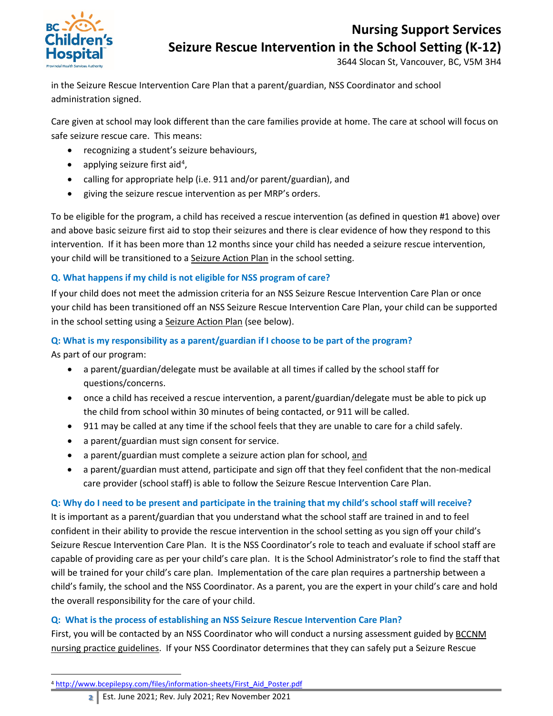

# **Nursing Support Services**

**Seizure Rescue Intervention in the School Setting (K-12)**

3644 Slocan St, Vancouver, BC, V5M 3H4

in the Seizure Rescue Intervention Care Plan that a parent/guardian, NSS Coordinator and school administration signed.

Care given at school may look different than the care families provide at home. The care at school will focus on safe seizure rescue care. This means:

- recognizing a student's seizure behaviours,
- applying seizure first aid<sup>[4](#page-1-0)</sup>,
- calling for appropriate help (i.e. 911 and/or parent/guardian), and
- giving the seizure rescue intervention as per MRP's orders.

To be eligible for the program, a child has received a rescue intervention (as defined in question #1 above) over and above basic seizure first aid to stop their seizures and there is clear evidence of how they respond to this intervention. If it has been more than 12 months since your child has needed a seizure rescue intervention, your child will be transitioned to [a Seizure Action Plan](https://www2.gov.bc.ca/gov/content/education-training/k-12/administration/program-management/safe-caring-and-orderly-schools?keyword=seizure&keyword=action&keyword=plan) in the school setting.

## **Q. What happens if my child is not eligible for NSS program of care?**

If your child does not meet the admission criteria for an NSS Seizure Rescue Intervention Care Plan or once your child has been transitioned off an NSS Seizure Rescue Intervention Care Plan, your child can be supported in the school setting using a [Seizure Action Plan](https://www2.gov.bc.ca/gov/content/education-training/k-12/administration/program-management/safe-caring-and-orderly-schools?keyword=seizure&keyword=action&keyword=plan) (see below).

## **Q: What is my responsibility as a parent/guardian if I choose to be part of the program?**

As part of our program:

- a parent/guardian/delegate must be available at all times if called by the school staff for questions/concerns.
- once a child has received a rescue intervention, a parent/guardian/delegate must be able to pick up the child from school within 30 minutes of being contacted, or 911 will be called.
- 911 may be called at any time if the school feels that they are unable to care for a child safely.
- a parent/guardian must sign consent for service.
- a parent/guardian must complete a seizure action plan for school, and
- a parent/guardian must attend, participate and sign off that they feel confident that the non-medical care provider (school staff) is able to follow the Seizure Rescue Intervention Care Plan.

### **Q: Why do I need to be present and participate in the training that my child's school staff will receive?**

It is important as a parent/guardian that you understand what the school staff are trained in and to feel confident in their ability to provide the rescue intervention in the school setting as you sign off your child's Seizure Rescue Intervention Care Plan. It is the NSS Coordinator's role to teach and evaluate if school staff are capable of providing care as per your child's care plan. It is the School Administrator's role to find the staff that will be trained for your child's care plan. Implementation of the care plan requires a partnership between a child's family, the school and the NSS Coordinator. As a parent, you are the expert in your child's care and hold the overall responsibility for the care of your child.

### **Q: What is the process of establishing an NSS Seizure Rescue Intervention Care Plan?**

<span id="page-1-0"></span>First, you will be contacted by an NSS Coordinator who will conduct a nursing assessment guided by BCCNM [nursing practice guidelines.](https://www.bccnm.ca/RN/PracticeStandards/Pages/delegating.aspx) If your NSS Coordinator determines that they can safely put a Seizure Rescue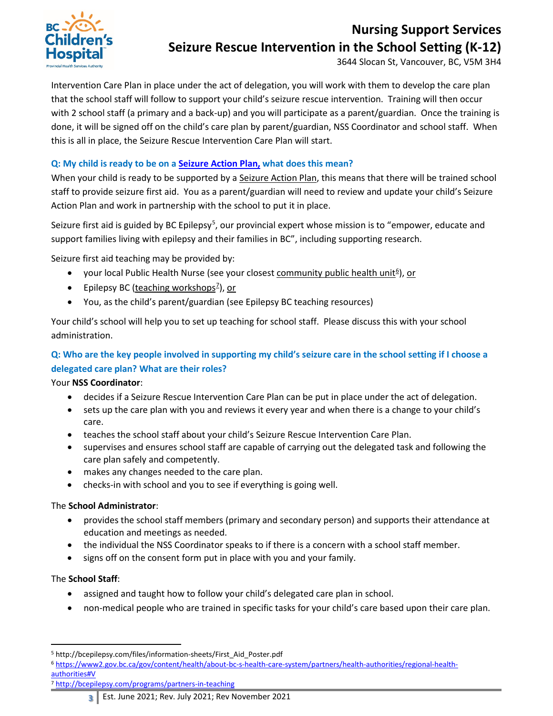

# **Nursing Support Services Seizure Rescue Intervention in the School Setting (K-12)**

3644 Slocan St, Vancouver, BC, V5M 3H4

Intervention Care Plan in place under the act of delegation, you will work with them to develop the care plan that the school staff will follow to support your child's seizure rescue intervention. Training will then occur with 2 school staff (a primary and a back-up) and you will participate as a parent/guardian. Once the training is done, it will be signed off on the child's care plan by parent/guardian, NSS Coordinator and school staff. When this is all in place, the Seizure Rescue Intervention Care Plan will start.

### **Q: My child is ready to be on a [Seizure Action Plan,](https://www2.gov.bc.ca/gov/content/education-training/k-12/administration/program-management/safe-caring-and-orderly-schools?keyword=seizure&keyword=action&keyword=plan) what does this mean?**

When your child is ready to be supported by a [Seizure Action Plan,](https://www2.gov.bc.ca/gov/content/education-training/k-12/administration/program-management/safe-caring-and-orderly-schools?keyword=seizure&keyword=action&keyword=plan) this means that there will be trained school staff to provide seizure first aid. You as a parent/guardian will need to review and update your child's Seizure Action Plan and work in partnership with the school to put it in place.

Seizure first aid is guided by BC Epilepsy<sup>[5](#page-2-0)</sup>, our provincial expert whose mission is to "empower, educate and support families living with epilepsy and their families in BC", including supporting research.

Seizure first aid teaching may be provided by:

- your local Public Health Nurse (see your closes[t community public health unit](https://www2.gov.bc.ca/gov/content/health/about-bc-s-health-care-system/partners/health-authorities/regional-health-authorities#V)<sup>[6](#page-2-1)</sup>), or
- Epilepsy BC [\(teaching workshops](http://bcepilepsy.com/programs/partners-in-teaching)<sup>2</sup>), or
- You, as the child's parent/guardian (see Epilepsy BC teaching resources)

Your child's school will help you to set up teaching for school staff. Please discuss this with your school administration.

### **Q: Who are the key people involved in supporting my child's seizure care in the school setting if I choose a delegated care plan? What are their roles?**

Your **NSS Coordinator**:

- decides if a Seizure Rescue Intervention Care Plan can be put in place under the act of delegation.
- sets up the care plan with you and reviews it every year and when there is a change to your child's care.
- teaches the school staff about your child's Seizure Rescue Intervention Care Plan.
- supervises and ensures school staff are capable of carrying out the delegated task and following the care plan safely and competently.
- makes any changes needed to the care plan.
- checks-in with school and you to see if everything is going well.

### The **School Administrator**:

- provides the school staff members (primary and secondary person) and supports their attendance at education and meetings as needed.
- the individual the NSS Coordinator speaks to if there is a concern with a school staff member.
- signs off on the consent form put in place with you and your family.

### The **School Staff**:

- assigned and taught how to follow your child's delegated care plan in school.
- non-medical people who are trained in specific tasks for your child's care based upon their care plan.

<span id="page-2-2"></span><sup>7</sup> <http://bcepilepsy.com/programs/partners-in-teaching>

**3** Est. June 2021; Rev. July 2021; Rev November 2021

<span id="page-2-0"></span> <sup>5</sup> http://bcepilepsy.com/files/information-sheets/First\_Aid\_Poster.pdf

<span id="page-2-1"></span><sup>6</sup> [https://www2.gov.bc.ca/gov/content/health/about-bc-s-health-care-system/partners/health-authorities/regional-health](https://www2.gov.bc.ca/gov/content/health/about-bc-s-health-care-system/partners/health-authorities/regional-health-authorities#V)[authorities#V](https://www2.gov.bc.ca/gov/content/health/about-bc-s-health-care-system/partners/health-authorities/regional-health-authorities#V)